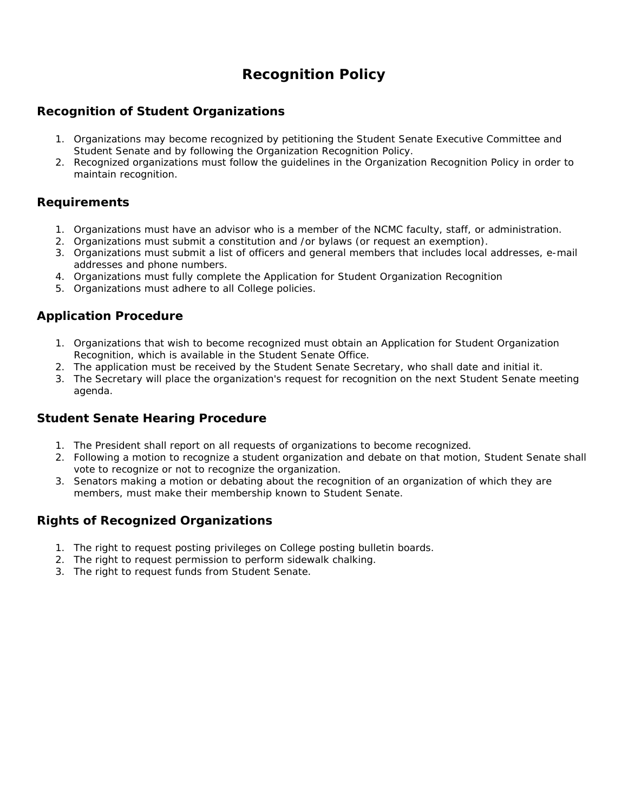## **Recognition Policy**

### **Recognition of Student Organizations**

- 1. Organizations may become recognized by petitioning the Student Senate Executive Committee and Student Senate and by following the Organization Recognition Policy.
- 2. Recognized organizations must follow the guidelines in the Organization Recognition Policy in order to maintain recognition.

#### **Requirements**

- 1. Organizations must have an advisor who is a member of the NCMC faculty, staff, or administration.
- 2. Organizations must submit a constitution and /or bylaws (or request an exemption).
- 3. Organizations must submit a list of officers and general members that includes local addresses, e-mail addresses and phone numbers.
- 4. Organizations must fully complete the Application for Student Organization Recognition
- 5. Organizations must adhere to all College policies.

#### **Application Procedure**

- 1. Organizations that wish to become recognized must obtain an Application for Student Organization Recognition, which is available in the Student Senate Office.
- 2. The application must be received by the Student Senate Secretary, who shall date and initial it.
- 3. The Secretary will place the organization's request for recognition on the next Student Senate meeting agenda.

#### **Student Senate Hearing Procedure**

- 1. The President shall report on all requests of organizations to become recognized.
- 2. Following a motion to recognize a student organization and debate on that motion, Student Senate shall vote to recognize or not to recognize the organization.
- 3. Senators making a motion or debating about the recognition of an organization of which they are members, must make their membership known to Student Senate.

#### **Rights of Recognized Organizations**

- 1. The right to request posting privileges on College posting bulletin boards.
- 2. The right to request permission to perform sidewalk chalking.
- 3. The right to request funds from Student Senate.